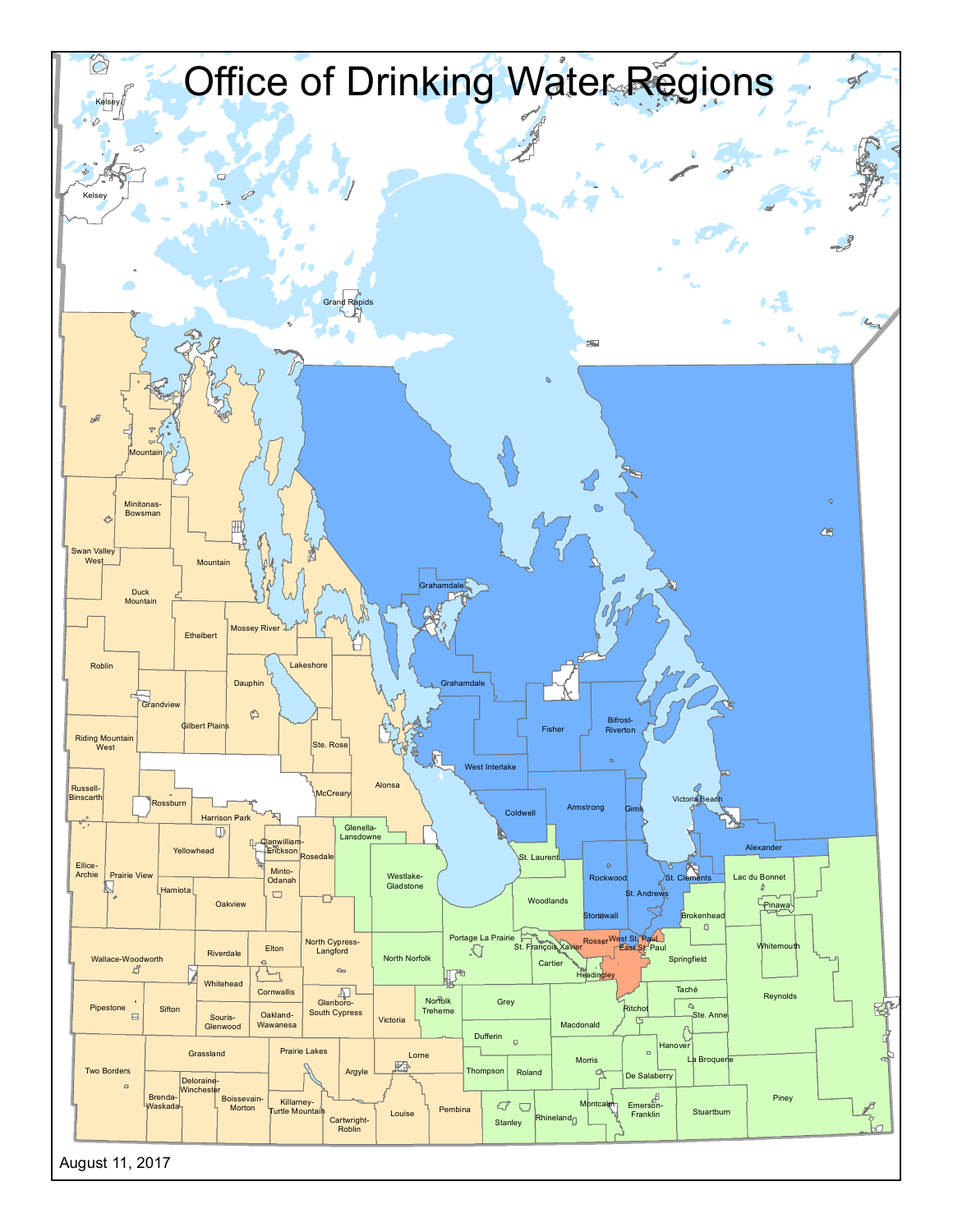